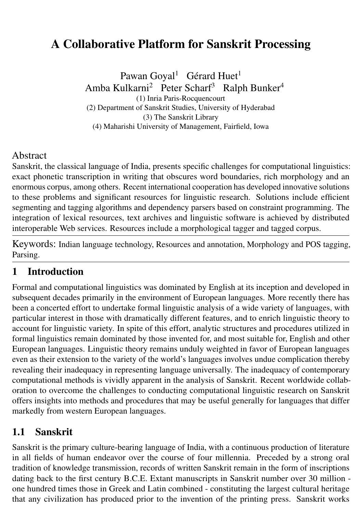# A Collaborative Platform for Sanskrit Processing

Pawan Goyal<sup>1</sup> Gérard Huet<sup>1</sup> Amba Kulkarni<sup>2</sup> Peter Scharf<sup>3</sup> Ralph Bunker<sup>4</sup> (1) Inria Paris-Rocquencourt (2) Department of Sanskrit Studies, University of Hyderabad (3) The Sanskrit Library

(4) Maharishi University of Management, Fairfield, Iowa

#### Abstract

Sanskrit, the classical language of India, presents specific challenges for computational linguistics: exact phonetic transcription in writing that obscures word boundaries, rich morphology and an enormous corpus, among others. Recent international cooperation has developed innovative solutions to these problems and significant resources for linguistic research. Solutions include efficient segmenting and tagging algorithms and dependency parsers based on constraint programming. The integration of lexical resources, text archives and linguistic software is achieved by distributed interoperable Web services. Resources include a morphological tagger and tagged corpus.

Keywords: Indian language technology, Resources and annotation, Morphology and POS tagging, Parsing.

#### 1 Introduction

Formal and computational linguistics was dominated by English at its inception and developed in subsequent decades primarily in the environment of European languages. More recently there has been a concerted effort to undertake formal linguistic analysis of a wide variety of languages, with particular interest in those with dramatically different features, and to enrich linguistic theory to account for linguistic variety. In spite of this effort, analytic structures and procedures utilized in formal linguistics remain dominated by those invented for, and most suitable for, English and other European languages. Linguistic theory remains unduly weighted in favor of European languages even as their extension to the variety of the world's languages involves undue complication thereby revealing their inadequacy in representing language universally. The inadequacy of contemporary computational methods is vividly apparent in the analysis of Sanskrit. Recent worldwide collaboration to overcome the challenges to conducting computational linguistic research on Sanskrit offers insights into methods and procedures that may be useful generally for languages that differ markedly from western European languages.

#### 1.1 Sanskrit

Sanskrit is the primary culture-bearing language of India, with a continuous production of literature in all fields of human endeavor over the course of four millennia. Preceded by a strong oral tradition of knowledge transmission, records of written Sanskrit remain in the form of inscriptions dating back to the first century B.C.E. Extant manuscripts in Sanskrit number over 30 million one hundred times those in Greek and Latin combined - constituting the largest cultural heritage that any civilization has produced prior to the invention of the printing press. Sanskrit works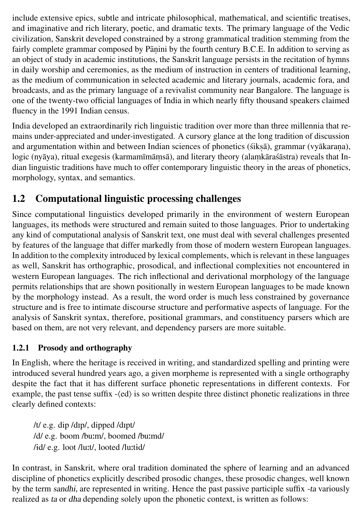include extensive epics, subtle and intricate philosophical, mathematical, and scientific treatises, and imaginative and rich literary, poetic, and dramatic texts. The primary language of the Vedic civilization, Sanskrit developed constrained by a strong grammatical tradition stemming from the fairly complete grammar composed by Pāṇini by the fourth century B.C.E. In addition to serving as an object of study in academic institutions, the Sanskrit language persists in the recitation of hymns in daily worship and ceremonies, as the medium of instruction in centers of traditional learning, as the medium of communication in selected academic and literary journals, academic fora, and broadcasts, and as the primary language of a revivalist community near Bangalore. The language is one of the twenty-two official languages of India in which nearly fifty thousand speakers claimed fluency in the 1991 Indian census.

India developed an extraordinarily rich linguistic tradition over more than three millennia that remains under-appreciated and under-investigated. A cursory glance at the long tradition of discussion and argumentation within and between Indian sciences of phonetics (śikṣā), grammar (vyākaraṇa), logic (nyāya), ritual exegesis (karmamīmāmsā), and literary theory (alaṃkāraśāstra) reveals that Indian linguistic traditions have much to offer contemporary linguistic theory in the areas of phonetics, morphology, syntax, and semantics.

## 1.2 Computational linguistic processing challenges

Since computational linguistics developed primarily in the environment of western European languages, its methods were structured and remain suited to those languages. Prior to undertaking any kind of computational analysis of Sanskrit text, one must deal with several challenges presented by features of the language that differ markedly from those of modern western European languages. In addition to the complexity introduced by lexical complements, which is relevant in these languages as well, Sanskrit has orthographic, prosodical, and inflectional complexities not encountered in western European languages. The rich inflectional and derivational morphology of the language permits relationships that are shown positionally in western European languages to be made known by the morphology instead. As a result, the word order is much less constrained by governance structure and is free to intimate discourse structure and performative aspects of language. For the analysis of Sanskrit syntax, therefore, positional grammars, and constituency parsers which are based on them, are not very relevant, and dependency parsers are more suitable.

#### 1.2.1 Prosody and orthography

In English, where the heritage is received in writing, and standardized spelling and printing were introduced several hundred years ago, a given morpheme is represented with a single orthography despite the fact that it has different surface phonetic representations in different contexts. For example, the past tense suffix  $-\langle ed \rangle$  is so written despite three distinct phonetic realizations in three clearly defined contexts:

/t/ e.g. dip /dIp/, dipped /dIpt/ /d/ e.g. boom /bu:m/, boomed /bu:md/ /id/ e.g. loot /lu:t/, looted /lu:tid/

In contrast, in Sanskrit, where oral tradition dominated the sphere of learning and an advanced discipline of phonetics explicitly described prosodic changes, these prosodic changes, well known by the term sandhi, are represented in writing. Hence the past passive participle suffix -ta variously realized as ta or dha depending solely upon the phonetic context, is written as follows: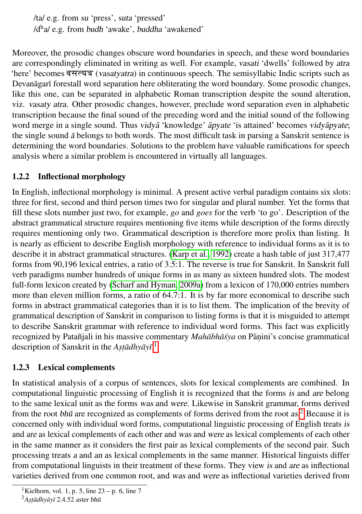/ta/ e.g. from su 'press', suta 'pressed' /d<sup>h</sup>a/ e.g. from budh 'awake', buddha 'awakened'

Moreover, the prosodic changes obscure word boundaries in speech, and these word boundaries are correspondingly eliminated in writing as well. For example, vasati 'dwells' followed by atra there' becomes **वसत्यत्र** (vasatyatra) in continuous speech. The semisyllabic Indic scripts such as Devanāgarī forestall word separation here obliterating the word boundary. Some prosodic changes, like this one, can be separated in alphabetic Roman transcription despite the sound alteration, viz. vasaty atra. Other prosodic changes, however, preclude word separation even in alphabetic transcription because the final sound of the preceding word and the initial sound of the following word merge in a single sound. Thus vidyā 'knowledge' apyate 'is attained' becomes vidyapyate; the single sound  $\bar{a}$  belongs to both words. The most difficult task in parsing a Sanskrit sentence is determining the word boundaries. Solutions to the problem have valuable ramifications for speech analysis where a similar problem is encountered in virtually all languages.

#### 1.2.2 Inflectional morphology

In English, inflectional morphology is minimal. A present active verbal paradigm contains six slots: three for first, second and third person times two for singular and plural number. Yet the forms that fill these slots number just two, for example, *go* and *goes* for the verb 'to go'. Description of the abstract grammatical structure requires mentioning five items while description of the forms directly requires mentioning only two. Grammatical description is therefore more prolix than listing. It is nearly as efficient to describe English morphology with reference to individual forms as it is to describe it in abstract grammatical structures. [\(Karp et al., 1992\)](#page-16-0) create a hash table of just 317,477 forms from 90,196 lexical entries, a ratio of 3.5:1. The reverse is true for Sanskrit. In Sanskrit full verb paradigms number hundreds of unique forms in as many as sixteen hundred slots. The modest full-form lexicon created by [\(Scharf and Hyman, 2009a\)](#page-17-0) from a lexicon of 170,000 entries numbers more than eleven million forms, a ratio of 64.7:1. It is by far more economical to describe such forms in abstract grammatical categories than it is to list them. The implication of the brevity of grammatical description of Sanskrit in comparison to listing forms is that it is misguided to attempt to describe Sanskrit grammar with reference to individual word forms. This fact was explicitly recognized by Patañjali in his massive commentary *Mahābhāśya* on Pāṇini's concise grammatical description of Sanskrit in the *Astadhyay*<sup>[1](#page-2-0)</sup>.<sup>1</sup>

#### 1.2.3 Lexical complements

In statistical analysis of a corpus of sentences, slots for lexical complements are combined. In computational linguistic processing of English it is recognized that the forms is and are belong to the same lexical unit as the forms was and were. Likewise in Sanskrit grammar, forms derived from the root bhū are recognized as complements of forms derived from the root as.<sup>[2](#page-2-1)</sup> Because it is concerned only with individual word forms, computational linguistic processing of English treats is and are as lexical complements of each other and was and were as lexical complements of each other in the same manner as it considers the first pair as lexical complements of the second pair. Such processing treats a and an as lexical complements in the same manner. Historical linguists differ from computational linguists in their treatment of these forms. They view is and are as inflectional varieties derived from one common root, and was and were as inflectional varieties derived from

<span id="page-2-0"></span><sup>&</sup>lt;sup>1</sup>Kielhorn, vol. 1, p. 5, line  $23 - p$ . 6, line 7

<span id="page-2-1"></span><sup>2</sup>*As. t .adhy ¯ ay¯ ¯ı* 2.4.52 aster bhu¯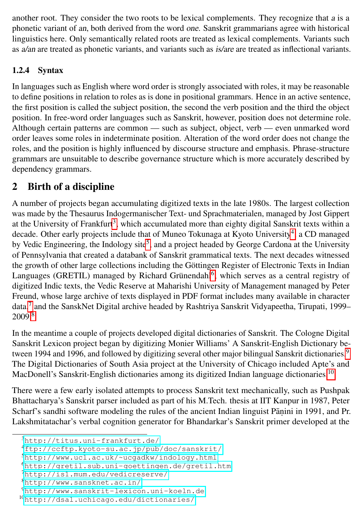another root. They consider the two roots to be lexical complements. They recognize that a is a phonetic variant of an, both derived from the word one. Sanskrit grammarians agree with historical linguistics here. Only semantically related roots are treated as lexical complements. Variants such as a/an are treated as phonetic variants, and variants such as is/are are treated as inflectional variants.

#### 1.2.4 Syntax

In languages such as English where word order is strongly associated with roles, it may be reasonable to define positions in relation to roles as is done in positional grammars. Hence in an active sentence, the first position is called the subject position, the second the verb position and the third the object position. In free-word order languages such as Sanskrit, however, position does not determine role. Although certain patterns are common — such as subject, object, verb — even unmarked word order leaves some roles in indeterminate position. Alteration of the word order does not change the roles, and the position is highly influenced by discourse structure and emphasis. Phrase-structure grammars are unsuitable to describe governance structure which is more accurately described by dependency grammars.

### <span id="page-3-8"></span>2 Birth of a discipline

A number of projects began accumulating digitized texts in the late 1980s. The largest collection was made by the Thesaurus Indogermanischer Text- und Sprachmaterialen, managed by Jost Gippert at the University of Frankfurt<sup>[3](#page-3-0)</sup>, which accumulated more than eighty digital Sanskrit texts within a decade. Other early projects include that of Muneo Tokunaga at Kyoto University<sup>[4](#page-3-1)</sup>, a CD managed by Vedic Engineering, the Indology site<sup>[5](#page-3-2)</sup>, and a project headed by George Cardona at the University of Pennsylvania that created a databank of Sanskrit grammatical texts. The next decades witnessed the growth of other large collections including the Göttingen Register of Electronic Texts in Indian Languages (GRETIL) managed by Richard Grünendahl<sup>[6](#page-3-3)</sup>, which serves as a central registry of digitized Indic texts, the Vedic Reserve at Maharishi University of Management managed by Peter Freund, whose large archive of texts displayed in PDF format includes many available in character data,<sup>[7](#page-3-4)</sup> and the SanskNet Digital archive headed by Rashtriya Sanskrit Vidyapeetha, Tirupati, 1999– 2009.[8](#page-3-5)

In the meantime a couple of projects developed digital dictionaries of Sanskrit. The Cologne Digital Sanskrit Lexicon project began by digitizing Monier Williams' A Sanskrit-English Dictionary be-tween 1[9](#page-3-6)94 and 1996, and followed by digitizing several other major bilingual Sanskrit dictionaries.<sup>9</sup> The Digital Dictionaries of South Asia project at the University of Chicago included Apte's and MacDonell's Sanskrit-English dictionaries among its digitized Indian language dictionaries.[10](#page-3-7)

There were a few early isolated attempts to process Sanskrit text mechanically, such as Pushpak Bhattacharya's Sanskrit parser included as part of his M.Tech. thesis at IIT Kanpur in 1987, Peter Scharf's sandhi software modeling the rules of the ancient Indian linguist Pāṇini in 1991, and Pr. Lakshmitatachar's verbal cognition generator for Bhandarkar's Sanskrit primer developed at the

<span id="page-3-0"></span><sup>3</sup><http://titus.uni-frankfurt.de/>

<span id="page-3-1"></span><sup>4</sup><ftp://ccftp.kyoto-su.ac.jp/pub/doc/sanskrit/>

<span id="page-3-2"></span><sup>5</sup><http://www.ucl.ac.uk/~ucgadkw/indology.html>

<span id="page-3-3"></span><sup>6</sup><http://gretil.sub.uni-goettingen.de/gretil.htm>

<span id="page-3-4"></span><sup>7</sup><http://is1.mum.edu/vedicreserve/>

<span id="page-3-5"></span><sup>8</sup><http://www.sansknet.ac.in/>

<span id="page-3-6"></span><sup>9</sup>[http://www.sanskrit-lexicon.uni-koeln.de]( http://www.sanskrit-lexicon.uni-koeln.de)

<span id="page-3-7"></span><sup>10</sup><http://dsal.uchicago.edu/dictionaries/>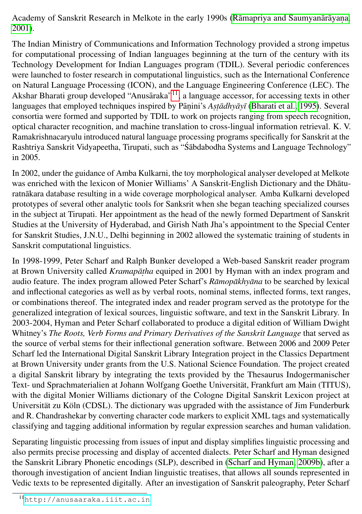Academy of Sanskrit Research in Melkote in the early 1990s (Rāmapriya and Saumyanārāyana, [2001\)](#page-17-1).

The Indian Ministry of Communications and Information Technology provided a strong impetus for computational processing of Indian languages beginning at the turn of the century with its Technology Development for Indian Languages program (TDIL). Several periodic conferences were launched to foster research in computational linguistics, such as the International Conference on Natural Language Processing (ICON), and the Language Engineering Conference (LEC). The Akshar Bharati group developed "Anusāraka"<sup>[11](#page-4-0)</sup>, a language accessor, for accessing texts in other languages that employed techniques inspired by Pāṇini's *Aṣṭādhyāyī* [\(Bharati et al., 1995\)](#page-14-0). Several consortia were formed and supported by TDIL to work on projects ranging from speech recognition, optical character recognition, and machine translation to cross-lingual information retrieval. K. V. Ramakrishnacaryulu introduced natural language processing programs specifically for Sanskrit at the Rashtriya Sanskrit Vidyapeetha, Tirupati, such as "Śābdabodha Systems and Language Technology" in 2005.

In 2002, under the guidance of Amba Kulkarni, the toy morphological analyser developed at Melkote was enriched with the lexicon of Monier Williams' A Sanskrit-English Dictionary and the Dhāturatnākara database resulting in a wide coverage morphological analyser. Amba Kulkarni developed prototypes of several other analytic tools for Sanksrit when she began teaching specialized courses in the subject at Tirupati. Her appointment as the head of the newly formed Department of Sanskrit Studies at the University of Hyderabad, and Girish Nath Jha's appointment to the Special Center for Sanskrit Studies, J.N.U., Delhi beginning in 2002 allowed the systematic training of students in Sanskrit computational linguistics.

In 1998-1999, Peter Scharf and Ralph Bunker developed a Web-based Sanskrit reader program at Brown University called *Kramapāṭha* equiped in 2001 by Hyman with an index program and audio feature. The index program allowed Peter Scharf's *Ramopakhyana* to be searched by lexical and inflectional categories as well as by verbal roots, nominal stems, inflected forms, text ranges, or combinations thereof. The integrated index and reader program served as the prototype for the generalized integration of lexical sources, linguistic software, and text in the Sanskrit Library. In 2003-2004, Hyman and Peter Scharf collaborated to produce a digital edition of William Dwight Whitney's *The Roots, Verb Forms and Primary Derivatives of the Sanskrit Language* that served as the source of verbal stems for their inflectional generation software. Between 2006 and 2009 Peter Scharf led the International Digital Sanskrit Library Integration project in the Classics Department at Brown University under grants from the U.S. National Science Foundation. The project created a digital Sanskrit library by integrating the texts provided by the Thesaurus Indogermanischer Text- und Sprachmaterialien at Johann Wolfgang Goethe Universität, Frankfurt am Main (TITUS), with the digital Monier Williams dictionary of the Cologne Digital Sanskrit Lexicon project at Universität zu Köln (CDSL). The dictionary was upgraded with the assistance of Jim Funderburk and R. Chandrashekar by converting character code markers to explicit XML tags and systematically classifying and tagging additional information by regular expression searches and human validation.

Separating linguistic processing from issues of input and display simplifies linguistic processing and also permits precise processing and display of accented dialects. Peter Scharf and Hyman designed the Sanskrit Library Phonetic encodings (SLP), described in [\(Scharf and Hyman, 2009b\)](#page-17-2), after a thorough investigation of ancient Indian linguistic treatises, that allows all sounds represented in Vedic texts to be represented digitally. After an investigation of Sanskrit paleography, Peter Scharf

<span id="page-4-0"></span><sup>11</sup><http://anusaaraka.iiit.ac.in>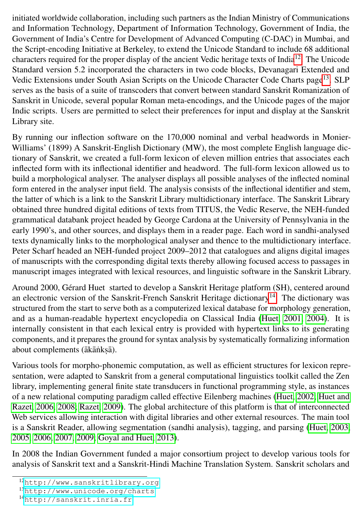initiated worldwide collaboration, including such partners as the Indian Ministry of Communications and Information Technology, Department of Information Technology, Government of India, the Government of India's Centre for Development of Advanced Computing (C-DAC) in Mumbai, and the Script-encoding Initiative at Berkeley, to extend the Unicode Standard to include 68 additional characters required for the proper display of the ancient Vedic heritage texts of India[12](#page-5-0). The Unicode Standard version 5.2 incorporated the characters in two code blocks, Devanagari Extended and Vedic Extensions under South Asian Scripts on the Unicode Character Code Charts page[13](#page-5-1). SLP serves as the basis of a suite of transcoders that convert between standard Sanskrit Romanization of Sanskrit in Unicode, several popular Roman meta-encodings, and the Unicode pages of the major Indic scripts. Users are permitted to select their preferences for input and display at the Sanskrit Library site.

By running our inflection software on the 170,000 nominal and verbal headwords in Monier-Williams' (1899) A Sanskrit-English Dictionary (MW), the most complete English language dictionary of Sanskrit, we created a full-form lexicon of eleven million entries that associates each inflected form with its inflectional identifier and headword. The full-form lexicon allowed us to build a morphological analyser. The analyser displays all possible analyses of the inflected nominal form entered in the analyser input field. The analysis consists of the inflectional identifier and stem, the latter of which is a link to the Sanskrit Library multidictionary interface. The Sanskrit Library obtained three hundred digital editions of texts from TITUS, the Vedic Reserve, the NEH-funded grammatical databank project headed by George Cardona at the University of Pennsylvania in the early 1990's, and other sources, and displays them in a reader page. Each word in sandhi-analysed texts dynamically links to the morphological analyser and thence to the multidictionary interface. Peter Scharf headed an NEH-funded project 2009–2012 that catalogues and aligns digital images of manuscripts with the corresponding digital texts thereby allowing focused access to passages in manuscript images integrated with lexical resources, and linguistic software in the Sanskrit Library.

Around 2000, Gérard Huet started to develop a Sanskrit Heritage platform (SH), centered around an electronic version of the Sanskrit-French Sanskrit Heritage dictionary<sup>[14](#page-5-2)</sup>. The dictionary was structured from the start to serve both as a computerized lexical database for morphology generation, and as a human-readable hypertext encyclopedia on Classical India [\(Huet, 2001,](#page-15-0) [2004\)](#page-15-1). It is internally consistent in that each lexical entry is provided with hypertext links to its generating components, and it prepares the ground for syntax analysis by systematically formalizing information about complements (ākāṅkṣā).

Various tools for morpho-phonemic computation, as well as efficient structures for lexicon representation, were adapted to Sanskrit from a general computational linguistics toolkit called the Zen library, implementing general finite state transducers in functional programming style, as instances of a new relational computing paradigm called effective Eilenberg machines [\(Huet, 2002;](#page-15-2) [Huet and](#page-15-3) [Razet, 2006,](#page-15-3) [2008;](#page-15-4) [Razet, 2009\)](#page-17-3). The global architecture of this platform is that of interconnected Web services allowing interaction with digital libraries and other external resources. The main tool is a Sanskrit Reader, allowing segmentation (sandhi analysis), tagging, and parsing [\(Huet, 2003,](#page-15-5) [2005,](#page-15-6) [2006,](#page-15-7) [2007,](#page-15-8) [2009;](#page-15-9) [Goyal and Huet, 2013\)](#page-15-10).

In 2008 the Indian Government funded a major consortium project to develop various tools for analysis of Sanskrit text and a Sanskrit-Hindi Machine Translation System. Sanskrit scholars and

<span id="page-5-0"></span><sup>12</sup><http://www.sanskritlibrary.org>

<span id="page-5-1"></span><sup>13</sup><http://www.unicode.org/charts>

<span id="page-5-2"></span><sup>14</sup><http://sanskrit.inria.fr>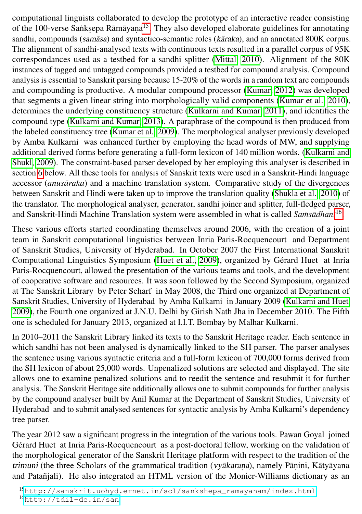computational linguists collaborated to develop the prototype of an interactive reader consisting of the 100-verse Sanksepa Rāmāyaṇa<sup>[15](#page-6-0)</sup>. They also developed elaborate guidelines for annotating sandhi, compounds (samāsa) and syntactico-semantic roles (kāraka), and an annotated 800K corpus. The alignment of sandhi-analysed texts with continuous texts resulted in a parallel corpus of 95K correspondances used as a testbed for a sandhi splitter [\(Mittal, 2010\)](#page-16-1). Alignment of the 80K instances of tagged and untagged compounds provided a testbed for compound analysis. Compound analysis is essential to Sanskrit parsing because 15-20% of the words in a random text are compounds and compounding is productive. A modular compound processor [\(Kumar, 2012\)](#page-16-2) was developed that segments a given linear string into morphologically valid components [\(Kumar et al., 2010\)](#page-16-3), determines the underlying constituency structure [\(Kulkarni and Kumar, 2011\)](#page-16-4), and identifies the compound type [\(Kulkarni and Kumar, 2013\)](#page-16-5). A paraphrase of the compound is then produced from the labeled constituency tree [\(Kumar et al., 2009\)](#page-16-6). The morphological analyser previously developed by Amba Kulkarni was enhanced further by employing the head words of MW, and supplying additional derived forms before generating a full-form lexicon of 140 million words. [\(Kulkarni and](#page-16-7) [Shukl, 2009\)](#page-16-7). The constraint-based parser developed by her employing this analyser is described in section [6](#page-11-0) below. All these tools for analysis of Sanskrit texts were used in a Sanskrit-Hindi language accessor (*anusāraka*) and a machine translation system. Comparative study of the divergences between Sanskrit and Hindi were taken up to improve the translation quality [\(Shukla et al., 2010\)](#page-17-4) of the translator. The morphological analyser, generator, sandhi joiner and splitter, full-fledged parser, and Sanskrit-Hindi Machine Translation system were assembled in what is called *Samsādhanī*<sup>[16](#page-6-1)</sup>.

These various efforts started coordinating themselves around 2006, with the creation of a joint team in Sanskrit computational linguistics between Inria Paris-Rocquencourt and Department of Sanskrit Studies, University of Hyderabad. In October 2007 the First International Sanskrit Computational Linguistics Symposium [\(Huet et al., 2009\)](#page-15-11), organized by Gérard Huet at Inria Paris-Rocquencourt, allowed the presentation of the various teams and tools, and the development of cooperative software and resources. It was soon followed by the Second Symposium, organized at The Sanskrit Library by Peter Scharf in May 2008, the Third one organized at Department of Sanskrit Studies, University of Hyderabad by Amba Kulkarni in January 2009 [\(Kulkarni and Huet,](#page-16-8) [2009\)](#page-16-8), the Fourth one organized at J.N.U. Delhi by Girish Nath Jha in December 2010. The Fifth one is scheduled for January 2013, organized at I.I.T. Bombay by Malhar Kulkarni.

In 2010–2011 the Sanskrit Library linked its texts to the Sanskrit Heritage reader. Each sentence in which sandhi has not been analysed is dynamically linked to the SH parser. The parser analyses the sentence using various syntactic criteria and a full-form lexicon of 700,000 forms derived from the SH lexicon of about 25,000 words. Unpenalized solutions are selected and displayed. The site allows one to examine penalized solutions and to reedit the sentence and resubmit it for further analysis. The Sanskrit Heritage site additionally allows one to submit compounds for further analysis by the compound analyser built by Anil Kumar at the Department of Sanskrit Studies, University of Hyderabad and to submit analysed sentences for syntactic analysis by Amba Kulkarni's dependency tree parser.

The year 2012 saw a significant progress in the integration of the various tools. Pawan Goyal joined Gérard Huet at Inria Paris-Rocquencourt as a post-doctoral fellow, working on the validation of the morphological generator of the Sanskrit Heritage platform with respect to the tradition of the trimuni (the three Scholars of the grammatical tradition (vyākaraņa), namely Pāṇini, Kātyāyana and Patañjali). He also integrated an HTML version of the Monier-Williams dictionary as an

<span id="page-6-1"></span><span id="page-6-0"></span><sup>15</sup>[http://sanskrit.uohyd.ernet.in/scl/sankshepa\\_ramayanam/index.html](http://sanskrit.uohyd.ernet.in/scl/sankshepa_ramayanam/index.html) 16<http://tdil-dc.in/san>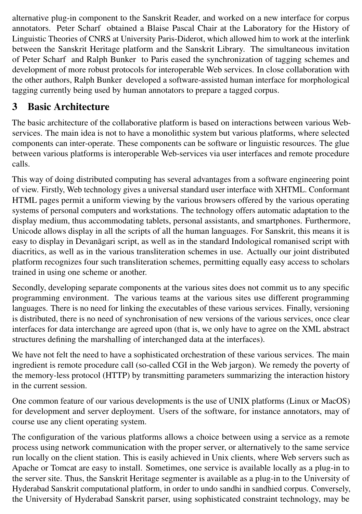alternative plug-in component to the Sanskrit Reader, and worked on a new interface for corpus annotators. Peter Scharf obtained a Blaise Pascal Chair at the Laboratory for the History of Linguistic Theories of CNRS at University Paris-Diderot, which allowed him to work at the interlink between the Sanskrit Heritage platform and the Sanskrit Library. The simultaneous invitation of Peter Scharf and Ralph Bunker to Paris eased the synchronization of tagging schemes and development of more robust protocols for interoperable Web services. In close collaboration with the other authors, Ralph Bunker developed a software-assisted human interface for morphological tagging currently being used by human annotators to prepare a tagged corpus.

## 3 Basic Architecture

The basic architecture of the collaborative platform is based on interactions between various Webservices. The main idea is not to have a monolithic system but various platforms, where selected components can inter-operate. These components can be software or linguistic resources. The glue between various platforms is interoperable Web-services via user interfaces and remote procedure calls.

This way of doing distributed computing has several advantages from a software engineering point of view. Firstly, Web technology gives a universal standard user interface with XHTML. Conformant HTML pages permit a uniform viewing by the various browsers offered by the various operating systems of personal computers and workstations. The technology offers automatic adaptation to the display medium, thus accommodating tablets, personal assistants, and smartphones. Furthermore, Unicode allows display in all the scripts of all the human languages. For Sanskrit, this means it is easy to display in Devanāgari script, as well as in the standard Indological romanised script with diacritics, as well as in the various transliteration schemes in use. Actually our joint distributed platform recognizes four such transliteration schemes, permitting equally easy access to scholars trained in using one scheme or another.

Secondly, developing separate components at the various sites does not commit us to any specific programming environment. The various teams at the various sites use different programming languages. There is no need for linking the executables of these various services. Finally, versioning is distributed, there is no need of synchronisation of new versions of the various services, once clear interfaces for data interchange are agreed upon (that is, we only have to agree on the XML abstract structures defining the marshalling of interchanged data at the interfaces).

We have not felt the need to have a sophisticated orchestration of these various services. The main ingredient is remote procedure call (so-called CGI in the Web jargon). We remedy the poverty of the memory-less protocol (HTTP) by transmitting parameters summarizing the interaction history in the current session.

One common feature of our various developments is the use of UNIX platforms (Linux or MacOS) for development and server deployment. Users of the software, for instance annotators, may of course use any client operating system.

The configuration of the various platforms allows a choice between using a service as a remote process using network communication with the proper server, or alternatively to the same service run locally on the client station. This is easily achieved in Unix clients, where Web servers such as Apache or Tomcat are easy to install. Sometimes, one service is available locally as a plug-in to the server site. Thus, the Sanskrit Heritage segmenter is available as a plug-in to the University of Hyderabad Sanskrit computational platform, in order to undo sandhi in sandhied corpus. Conversely, the University of Hyderabad Sanskrit parser, using sophisticated constraint technology, may be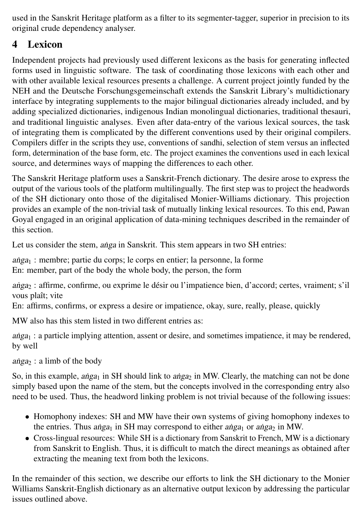used in the Sanskrit Heritage platform as a filter to its segmenter-tagger, superior in precision to its original crude dependency analyser.

### <span id="page-8-0"></span>4 Lexicon

Independent projects had previously used different lexicons as the basis for generating inflected forms used in linguistic software. The task of coordinating those lexicons with each other and with other available lexical resources presents a challenge. A current project jointly funded by the NEH and the Deutsche Forschungsgemeinschaft extends the Sanskrit Library's multidictionary interface by integrating supplements to the major bilingual dictionaries already included, and by adding specialized dictionaries, indigenous Indian monolingual dictionaries, traditional thesauri, and traditional linguistic analyses. Even after data-entry of the various lexical sources, the task of integrating them is complicated by the different conventions used by their original compilers. Compilers differ in the scripts they use, conventions of sandhi, selection of stem versus an inflected form, determination of the base form, etc. The project examines the conventions used in each lexical source, and determines ways of mapping the differences to each other.

The Sanskrit Heritage platform uses a Sanskrit-French dictionary. The desire arose to express the output of the various tools of the platform multilingually. The first step was to project the headwords of the SH dictionary onto those of the digitalised Monier-Williams dictionary. This projection provides an example of the non-trivial task of mutually linking lexical resources. To this end, Pawan Goyal engaged in an original application of data-mining techniques described in the remainder of this section.

Let us consider the stem, anga in Sanskrit. This stem appears in two SH entries:

 $a<sub>1</sub>$  : membre; partie du corps; le corps en entier; la personne, la forme En: member, part of the body the whole body, the person, the form

anga<sub>2</sub> : affirme, confirme, ou exprime le désir ou l'impatience bien, d'accord; certes, vraiment; s'il vous plaît; vite

En: affirms, confirms, or express a desire or impatience, okay, sure, really, please, quickly

MW also has this stem listed in two different entries as:

 $a\nu$ <sub>1</sub> : a particle implying attention, assent or desire, and sometimes impatience, it may be rendered, by well

anga  $\alpha$ : a limb of the body

So, in this example, anga<sub>1</sub> in SH should link to anga<sub>2</sub> in MW. Clearly, the matching can not be done simply based upon the name of the stem, but the concepts involved in the corresponding entry also need to be used. Thus, the headword linking problem is not trivial because of the following issues:

- Homophony indexes: SH and MW have their own systems of giving homophony indexes to the entries. Thus anga<sub>1</sub> in SH may correspond to either anga<sub>1</sub> or anga<sub>2</sub> in MW.
- Cross-lingual resources: While SH is a dictionary from Sanskrit to French, MW is a dictionary from Sanskrit to English. Thus, it is difficult to match the direct meanings as obtained after extracting the meaning text from both the lexicons.

In the remainder of this section, we describe our efforts to link the SH dictionary to the Monier Williams Sanskrit-English dictionary as an alternative output lexicon by addressing the particular issues outlined above.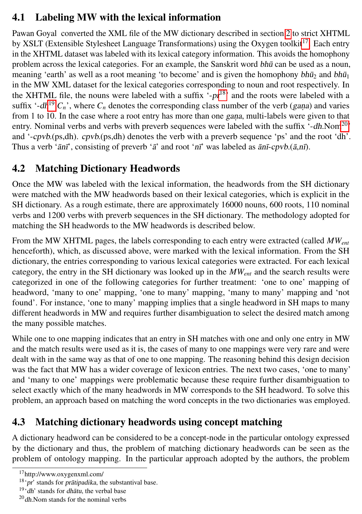#### 4.1 Labeling MW with the lexical information

Pawan Goyal converted the XML file of the MW dictionary described in section [2](#page-3-8) to strict XHTML by XSLT (Extensible Stylesheet Language Transformations) using the Oxygen toolkit<sup>[17](#page-9-0)</sup>. Each entry in the XHTML dataset was labeled with its lexical category information. This avoids the homophony problem across the lexical categories. For an example, the Sanskrit word  $b\hbar\bar{u}$  can be used as a noun, meaning 'earth' as well as a root meaning 'to become' and is given the homophony  $b\hbar\bar{u}_2$  and  $b\hbar\bar{u}_1$ in the MW XML dataset for the lexical categories corresponding to noun and root respectively. In the XHTML file, the nouns were labeled with a suffix  $\cdot$ -pr<sup>[18](#page-9-1)</sup> and the roots were labeled with a suffix '-dh<sup>[19](#page-9-2)</sup>. $C_n$ ', where  $C_n$  denotes the corresponding class number of the verb (*gana*) and varies from 1 to 10. In the case where a root entry has more than one gana, multi-labels were given to that entry. Nominal verbs and verbs with preverb sequences were labeled with the suffix  $-$ dh.Nom<sup>[20](#page-9-3)</sup> and '-cpvb.(ps,dh). cpvb.(ps,dh) denotes the verb with a preverb sequence 'ps' and the root 'dh'. Thus a verb ' $\bar{a}n\bar{r}$ ', consisting of preverb ' $\bar{a}$ ' and root ' $n\bar{r}$ ' was labeled as  $\bar{a}n\bar{r}$ -cpvb.( $\bar{a}$ , $n\bar{n}$ ).

### 4.2 Matching Dictionary Headwords

Once the MW was labeled with the lexical information, the headwords from the SH dictionary were matched with the MW headwords based on their lexical categories, which is explicit in the SH dictionary. As a rough estimate, there are approximately 16000 nouns, 600 roots, 110 nominal verbs and 1200 verbs with preverb sequences in the SH dictionary. The methodology adopted for matching the SH headwords to the MW headwords is described below.

From the MW XHTML pages, the labels corresponding to each entry were extracted (called *MWent* henceforth), which, as discussed above, were marked with the lexical information. From the SH dictionary, the entries corresponding to various lexical categories were extracted. For each lexical category, the entry in the SH dictionary was looked up in the *MWent* and the search results were categorized in one of the following categories for further treatment: 'one to one' mapping of headword, 'many to one' mapping, 'one to many' mapping, 'many to many' mapping and 'not found'. For instance, 'one to many' mapping implies that a single headword in SH maps to many different headwords in MW and requires further disambiguation to select the desired match among the many possible matches.

While one to one mapping indicates that an entry in SH matches with one and only one entry in MW and the match results were used as it is, the cases of many to one mappings were very rare and were dealt with in the same way as that of one to one mapping. The reasoning behind this design decision was the fact that MW has a wider coverage of lexicon entries. The next two cases, 'one to many' and 'many to one' mappings were problematic because these require further disambiguation to select exactly which of the many headwords in MW corresponds to the SH headword. To solve this problem, an approach based on matching the word concepts in the two dictionaries was employed.

## 4.3 Matching dictionary headwords using concept matching

A dictionary headword can be considered to be a concept-node in the particular ontology expressed by the dictionary and thus, the problem of matching dictionary headwords can be seen as the problem of ontology mapping. In the particular approach adopted by the authors, the problem

<span id="page-9-0"></span><sup>17</sup>http://www.oxygenxml.com/

<span id="page-9-1"></span> $18$  'pr' stands for pratipadika, the substantival base.

<span id="page-9-2"></span> $19$ <sup>'dh'</sup> stands for *dhātu*, the verbal base

<span id="page-9-3"></span> $20$ dh.Nom stands for the nominal verbs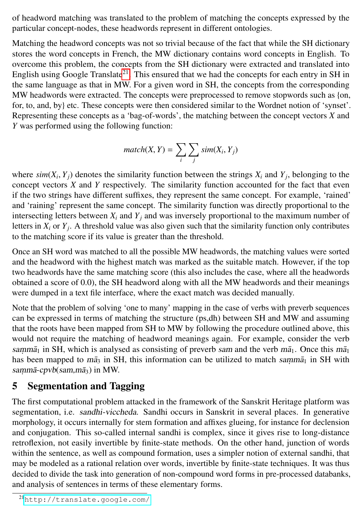of headword matching was translated to the problem of matching the concepts expressed by the particular concept-nodes, these headwords represent in different ontologies.

Matching the headword concepts was not so trivial because of the fact that while the SH dictionary stores the word concepts in French, the MW dictionary contains word concepts in English. To overcome this problem, the concepts from the SH dictionary were extracted and translated into English using Google Translate<sup>[21](#page-10-0)</sup>. This ensured that we had the concepts for each entry in SH in the same language as that in MW. For a given word in SH, the concepts from the corresponding MW headwords were extracted. The concepts were preprocessed to remove stopwords such as {on, for, to, and, by} etc. These concepts were then considered similar to the Wordnet notion of 'synset'. Representing these concepts as a 'bag-of-words', the matching between the concept vectors *X* and *Y* was performed using the following function:

$$
match(X, Y) = \sum_{i} \sum_{j} sim(X_i, Y_j)
$$

where  $\sin(X_i, Y_j)$  denotes the similarity function between the strings  $X_i$  and  $Y_j$ , belonging to the concept vectors  $X$  and  $Y$  respectively. The similarity function accounted for the fact that even concept vectors *X* and *Y* respectively. The similarity function accounted for the fact that even if the two strings have different suffixes, they represent the same concept. For example, 'rained' and 'raining' represent the same concept. The similarity function was directly proportional to the intersecting letters between  $X_i$  and  $Y_j$  and was inversely proportional to the maximum number of letters in *X<sup>i</sup>* or *Y<sup>j</sup>* . A threshold value was also given such that the similarity function only contributes to the matching score if its value is greater than the threshold.

Once an SH word was matched to all the possible MW headwords, the matching values were sorted and the headword with the highest match was marked as the suitable match. However, if the top two headwords have the same matching score (this also includes the case, where all the headwords obtained a score of <sup>0</sup>.0), the SH headword along with all the MW headwords and their meanings were dumped in a text file interface, where the exact match was decided manually.

Note that the problem of solving 'one to many' mapping in the case of verbs with preverb sequences can be expressed in terms of matching the structure (ps,dh) between SH and MW and assuming that the roots have been mapped from SH to MW by following the procedure outlined above, this would not require the matching of headword meanings again. For example, consider the verb samm $\bar{a}_1$  in SH, which is analysed as consisting of preverb sam and the verb m $\bar{a}_1$ . Once this m $\bar{a}_1$ has been mapped to  $m\bar{a}_3$  in SH, this information can be utilized to match samm $\bar{a}_1$  in SH with sammā-cpvb(sam,mā<sub>3</sub>) in MW.

## 5 Segmentation and Tagging

The first computational problem attacked in the framework of the Sanskrit Heritage platform was segmentation, i.e. sandhi-viccheda. Sandhi occurs in Sanskrit in several places. In generative morphology, it occurs internally for stem formation and affixes glueing, for instance for declension and conjugation. This so-called internal sandhi is complex, since it gives rise to long-distance retroflexion, not easily invertible by finite-state methods. On the other hand, junction of words within the sentence, as well as compound formation, uses a simpler notion of external sandhi, that may be modeled as a rational relation over words, invertible by finite-state techniques. It was thus decided to divide the task into generation of non-compound word forms in pre-processed databanks, and analysis of sentences in terms of these elementary forms.

<span id="page-10-0"></span><sup>21</sup><http://translate.google.com/>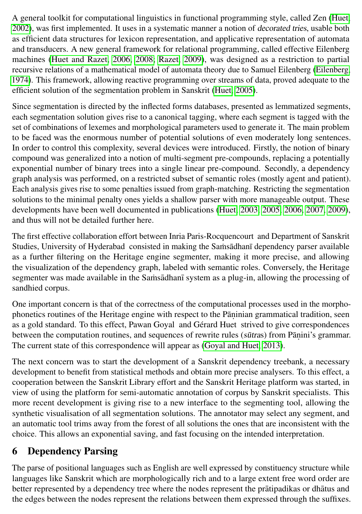A general toolkit for computational linguistics in functional programming style, called Zen [\(Huet,](#page-15-2) [2002\)](#page-15-2), was first implemented. It uses in a systematic manner a notion of decorated tries, usable both as efficient data structures for lexicon representation, and applicative representation of automata and transducers. A new general framework for relational programming, called effective Eilenberg machines [\(Huet and Razet, 2006,](#page-15-3) [2008;](#page-15-4) [Razet, 2009\)](#page-17-3), was designed as a restriction to partial recursive relations of a mathematical model of automata theory due to Samuel Eilenberg [\(Eilenberg,](#page-14-1) [1974\)](#page-14-1). This framework, allowing reactive programming over streams of data, proved adequate to the efficient solution of the segmentation problem in Sanskrit [\(Huet, 2005\)](#page-15-6).

Since segmentation is directed by the inflected forms databases, presented as lemmatized segments, each segmentation solution gives rise to a canonical tagging, where each segment is tagged with the set of combinations of lexemes and morphological parameters used to generate it. The main problem to be faced was the enormous number of potential solutions of even moderately long sentences. In order to control this complexity, several devices were introduced. Firstly, the notion of binary compound was generalized into a notion of multi-segment pre-compounds, replacing a potentially exponential number of binary trees into a single linear pre-compound. Secondly, a dependency graph analysis was performed, on a restricted subset of semantic roles (mostly agent and patient). Each analysis gives rise to some penalties issued from graph-matching. Restricting the segmentation solutions to the minimal penalty ones yields a shallow parser with more manageable output. These developments have been well documented in publications [\(Huet, 2003,](#page-15-5) [2005,](#page-15-6) [2006,](#page-15-7) [2007,](#page-15-8) [2009\)](#page-15-9), and thus will not be detailed further here.

The first effective collaboration effort between Inria Paris-Rocquencourt and Department of Sanskrit Studies, University of Hyderabad consisted in making the Samsadhan I dependency parser available as a further filtering on the Heritage engine segmenter, making it more precise, and allowing the visualization of the dependency graph, labeled with semantic roles. Conversely, the Heritage segmenter was made available in the Samsadhani system as a plug-in, allowing the processing of sandhied corpus.

One important concern is that of the correctness of the computational processes used in the morphophonetics routines of the Heritage engine with respect to the Pāṇinian grammatical tradition, seen as a gold standard. To this effect, Pawan Goyal and Gérard Huet strived to give correspondences between the computation routines, and sequences of rewrite rules (sūtras) from Pāṇini's grammar. The current state of this correspondence will appear as [\(Goyal and Huet, 2013\)](#page-15-10).

The next concern was to start the development of a Sanskrit dependency treebank, a necessary development to benefit from statistical methods and obtain more precise analysers. To this effect, a cooperation between the Sanskrit Library effort and the Sanskrit Heritage platform was started, in view of using the platform for semi-automatic annotation of corpus by Sanskrit specialists. This more recent development is giving rise to a new interface to the segmenting tool, allowing the synthetic visualisation of all segmentation solutions. The annotator may select any segment, and an automatic tool trims away from the forest of all solutions the ones that are inconsistent with the choice. This allows an exponential saving, and fast focusing on the intended interpretation.

## <span id="page-11-0"></span>6 Dependency Parsing

The parse of positional languages such as English are well expressed by constituency structure while languages like Sanskrit which are morphologically rich and to a large extent free word order are better represented by a dependency tree where the nodes represent the pratipadikas or dhatus and the edges between the nodes represent the relations between them expressed through the suffixes.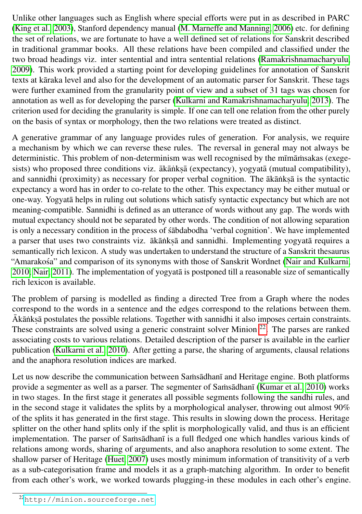Unlike other languages such as English where special efforts were put in as described in PARC [\(King et al., 2003\)](#page-16-9), Stanford dependency manual [\(M. Marneffe and Manning, 2006\)](#page-16-10) etc. for defining the set of relations, we are fortunate to have a well defined set of relations for Sanskrit described in traditional grammar books. All these relations have been compiled and classified under the two broad headings viz. inter sentential and intra sentential relations [\(Ramakrishnamacharyulu,](#page-17-5) [2009\)](#page-17-5). This work provided a starting point for developing guidelines for annotation of Sanskrit texts at kāraka level and also for the development of an automatic parser for Sanskrit. These tags were further examined from the granularity point of view and a subset of 31 tags was chosen for annotation as well as for developing the parser [\(Kulkarni and Ramakrishnamacharyulu, 2013\)](#page-16-11). The criterion used for deciding the granularity is simple. If one can tell one relation from the other purely on the basis of syntax or morphology, then the two relations were treated as distinct.

A generative grammar of any language provides rules of generation. For analysis, we require a mechanism by which we can reverse these rules. The reversal in general may not always be deterministic. This problem of non-determinism was well recognised by the mīmāmsakas (exegesists) who proposed three conditions viz. ākāṅkṣā (expectancy), yogyatā (mutual compatibility), and sannidhi (proximity) as necessary for proper verbal cognition. The ākānkṣā is the syntactic expectancy a word has in order to co-relate to the other. This expectancy may be either mutual or one-way. Yogyata helps in ruling out solutions which satisfy syntactic expectancy but which are not meaning-compatible. Sannidhi is defined as an utterance of words without any gap. The words with mutual expectancy should not be separated by other words. The condition of not allowing separation is only a necessary condition in the process of stabdabodha 'verbal cognition'. We have implemented a parser that uses two constraints viz. ākānkṣā and sannidhi. Implementing yogyatā requires a semantically rich lexicon. A study was undertaken to understand the structure of a Sanskrit thesaurus "Amarakosa" and comparison of its synonyms with those of Sanskrit Wordnet [\(Nair and Kulkarni,](#page-17-6) ´  $2010$ ; Nair,  $2011$ ). The implementation of yogyata is postponed till a reasonable size of semantically rich lexicon is available.

The problem of parsing is modelled as finding a directed Tree from a Graph where the nodes correspond to the words in a sentence and the edges correspond to the relations between them. Ākānkṣā postulates the possible relations. Together with sannidhi it also imposes certain constraints. These constraints are solved using a generic constraint solver Minion <sup>[22](#page-12-0)</sup>. The parses are ranked associating costs to various relations. Detailed description of the parser is available in the earlier publication [\(Kulkarni et al., 2010\)](#page-16-13). After getting a parse, the sharing of arguments, clausal relations and the anaphora resolution indices are marked.

Let us now describe the communication between Samsadhani and Heritage engine. Both platforms provide a segmenter as well as a parser. The segmenter of Samsadhani [\(Kumar et al., 2010\)](#page-16-3) works in two stages. In the first stage it generates all possible segments following the sandhi rules, and in the second stage it validates the splits by a morphological analyser, throwing out almost 90% of the splits it has generated in the first stage. This results in slowing down the process. Heritage splitter on the other hand splits only if the split is morphologically valid, and thus is an efficient implementation. The parser of Samsadhani is a full fledged one which handles various kinds of relations among words, sharing of arguments, and also anaphora resolution to some extent. The shallow parser of Heritage [\(Huet, 2007\)](#page-15-8) uses mostly minimum information of transitivity of a verb as a sub-categorisation frame and models it as a graph-matching algorithm. In order to benefit from each other's work, we worked towards plugging-in these modules in each other's engine.

<span id="page-12-0"></span><sup>22</sup><http://minion.sourceforge.net>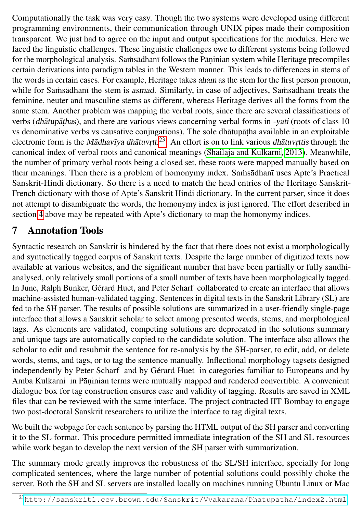Computationally the task was very easy. Though the two systems were developed using different programming environments, their communication through UNIX pipes made their composition transparent. We just had to agree on the input and output specifications for the modules. Here we faced the linguistic challenges. These linguistic challenges owe to different systems being followed for the morphological analysis. Samsādhanī follows the Pāṇinian system while Heritage precompiles certain derivations into paradigm tables in the Western manner. This leads to differences in stems of the words in certain cases. For example, Heritage takes aham as the stem for the first person pronoun, while for Samsadhan  $\bar{a}$  the stem is asmad. Similarly, in case of adjectives, Samsadhan  $\bar{a}$  treats the feminine, neuter and masculine stems as different, whereas Heritage derives all the forms from the same stem. Another problem was mapping the verbal roots, since there are several classifications of verbs (*dhātupāṭha*s), and there are various views concerning verbal forms in -yati (roots of class 10 vs denominative verbs vs causative conjugations). The sole dhātupāṭha available in an exploitable electronic form is the *Mādhavīya dhātuv*<sub>rtti</sub><sup>[23](#page-13-0)</sup>. An effort is on to link various *dhātuv*<sub>rttis</sub> through the canonical index of verbal roots and canonical meanings [\(Shailaja and Kulkarni, 2013\)](#page-17-7). Meanwhile, the number of primary verbal roots being a closed set, these roots were mapped manually based on their meanings. Then there is a problem of homonymy index. Samsadhani uses Apte's Practical Sanskrit-Hindi dictionary. So there is a need to match the head entries of the Heritage Sanskrit-French dictionary with those of Apte's Sanskrit Hindi dictionary. In the current parser, since it does not attempt to disambiguate the words, the homonymy index is just ignored. The effort described in section [4](#page-8-0) above may be repeated with Apte's dictionary to map the homonymy indices.

#### 7 Annotation Tools

Syntactic research on Sanskrit is hindered by the fact that there does not exist a morphologically and syntactically tagged corpus of Sanskrit texts. Despite the large number of digitized texts now available at various websites, and the significant number that have been partially or fully sandhianalysed, only relatively small portions of a small number of texts have been morphologically tagged. In June, Ralph Bunker, Gérard Huet, and Peter Scharf collaborated to create an interface that allows machine-assisted human-validated tagging. Sentences in digital texts in the Sanskrit Library (SL) are fed to the SH parser. The results of possible solutions are summarized in a user-friendly single-page interface that allows a Sanskrit scholar to select among presented words, stems, and morphological tags. As elements are validated, competing solutions are deprecated in the solutions summary and unique tags are automatically copied to the candidate solution. The interface also allows the scholar to edit and resubmit the sentence for re-analysis by the SH-parser, to edit, add, or delete words, stems, and tags, or to tag the sentence manually. Inflectional morphology tagsets designed independently by Peter Scharf and by Gérard Huet in categories familiar to Europeans and by Amba Kulkarni in Pāṇinian terms were mutually mapped and rendered convertible. A convenient dialogue box for tag construction ensures ease and validity of tagging. Results are saved in XML files that can be reviewed with the same interface. The project contracted IIT Bombay to engage two post-doctoral Sanskrit researchers to utilize the interface to tag digital texts.

We built the webpage for each sentence by parsing the HTML output of the SH parser and converting it to the SL format. This procedure permitted immediate integration of the SH and SL resources while work began to develop the next version of the SH parser with summarization.

The summary mode greatly improves the robustness of the SL/SH interface, specially for long complicated sentences, where the large number of potential solutions could possibly choke the server. Both the SH and SL servers are installed locally on machines running Ubuntu Linux or Mac

<span id="page-13-0"></span><sup>23</sup><http://sanskrit1.ccv.brown.edu/Sanskrit/Vyakarana/Dhatupatha/index2.html>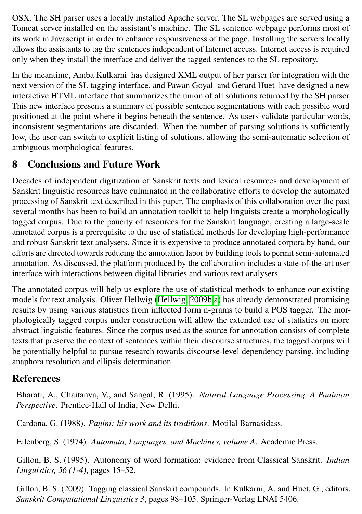OSX. The SH parser uses a locally installed Apache server. The SL webpages are served using a Tomcat server installed on the assistant's machine. The SL sentence webpage performs most of its work in Javascript in order to enhance responsiveness of the page. Installing the servers locally allows the assistants to tag the sentences independent of Internet access. Internet access is required only when they install the interface and deliver the tagged sentences to the SL repository.

In the meantime, Amba Kulkarni has designed XML output of her parser for integration with the next version of the SL tagging interface, and Pawan Goyal and Gérard Huet have designed a new interactive HTML interface that summarizes the union of all solutions returned by the SH parser. This new interface presents a summary of possible sentence segmentations with each possible word positioned at the point where it begins beneath the sentence. As users validate particular words, inconsistent segmentations are discarded. When the number of parsing solutions is sufficiently low, the user can switch to explicit listing of solutions, allowing the semi-automatic selection of ambiguous morphological features.

## 8 Conclusions and Future Work

Decades of independent digitization of Sanskrit texts and lexical resources and development of Sanskrit linguistic resources have culminated in the collaborative efforts to develop the automated processing of Sanskrit text described in this paper. The emphasis of this collaboration over the past several months has been to build an annotation toolkit to help linguists create a morphologically tagged corpus. Due to the paucity of resources for the Sanskrit language, creating a large-scale annotated corpus is a prerequisite to the use of statistical methods for developing high-performance and robust Sanskrit text analysers. Since it is expensive to produce annotated corpora by hand, our efforts are directed towards reducing the annotation labor by building tools to permit semi-automated annotation. As discussed, the platform produced by the collaboration includes a state-of-the-art user interface with interactions between digital libraries and various text analysers.

The annotated corpus will help us explore the use of statistical methods to enhance our existing models for text analysis. Oliver Hellwig [\(Hellwig, 2009b,](#page-15-12)[a\)](#page-15-13) has already demonstrated promising results by using various statistics from inflected form n-grams to build a POS tagger. The morphologically tagged corpus under construction will allow the extended use of statistics on more abstract linguistic features. Since the corpus used as the source for annotation consists of complete texts that preserve the context of sentences within their discourse structures, the tagged corpus will be potentially helpful to pursue research towards discourse-level dependency parsing, including anaphora resolution and ellipsis determination.

## References

<span id="page-14-0"></span>Bharati, A., Chaitanya, V., and Sangal, R. (1995). *Natural Language Processing. A Paninian Perspective*. Prentice-Hall of India, New Delhi.

Cardona, G. (1988). Pāņini: his work and its traditions. Motilal Barnasidass.

<span id="page-14-1"></span>Eilenberg, S. (1974). *Automata, Languages, and Machines, volume A*. Academic Press.

Gillon, B. S. (1995). Autonomy of word formation: evidence from Classical Sanskrit. *Indian Linguistics, 56 (1-4)*, pages 15–52.

Gillon, B. S. (2009). Tagging classical Sanskrit compounds. In Kulkarni, A. and Huet, G., editors, *Sanskrit Computational Linguistics 3*, pages 98–105. Springer-Verlag LNAI 5406.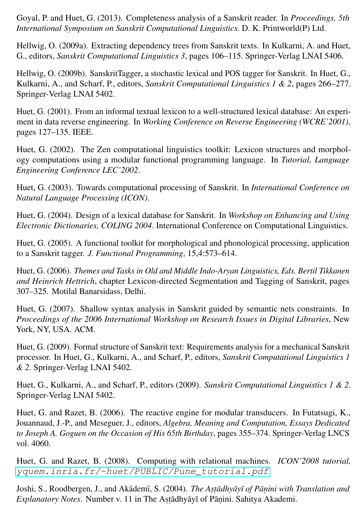<span id="page-15-10"></span>Goyal, P. and Huet, G. (2013). Completeness analysis of a Sanskrit reader. In *Proceedings, 5th International Symposium on Sanskrit Computational Linguistics*. D. K. Printworld(P) Ltd.

<span id="page-15-13"></span>Hellwig, O. (2009a). Extracting dependency trees from Sanskrit texts. In Kulkarni, A. and Huet, G., editors, *Sanskrit Computational Linguistics 3*, pages 106–115. Springer-Verlag LNAI 5406.

<span id="page-15-12"></span>Hellwig, O. (2009b). SanskritTagger, a stochastic lexical and POS tagger for Sanskrit. In Huet, G., Kulkarni, A., and Scharf, P., editors, *Sanskrit Computational Linguistics 1 & 2*, pages 266–277. Springer-Verlag LNAI 5402.

<span id="page-15-0"></span>Huet, G. (2001). From an informal textual lexicon to a well-structured lexical database: An experiment in data reverse engineering. In *Working Conference on Reverse Engineering (WCRE'2001)*, pages 127–135. IEEE.

<span id="page-15-2"></span>Huet, G. (2002). The Zen computational linguistics toolkit: Lexicon structures and morphology computations using a modular functional programming language. In *Tutorial, Language Engineering Conference LEC'2002*.

<span id="page-15-5"></span>Huet, G. (2003). Towards computational processing of Sanskrit. In *International Conference on Natural Language Processing (ICON)*.

<span id="page-15-1"></span>Huet, G. (2004). Design of a lexical database for Sanskrit. In *Workshop on Enhancing and Using Electronic Dictionaries, COLING 2004*. International Conference on Computational Linguistics.

<span id="page-15-6"></span>Huet, G. (2005). A functional toolkit for morphological and phonological processing, application to a Sanskrit tagger. *J. Functional Programming*, 15,4:573–614.

<span id="page-15-7"></span>Huet, G. (2006). *Themes and Tasks in Old and Middle Indo-Aryan Linguistics, Eds. Bertil Tikkanen and Heinrich Hettrich*, chapter Lexicon-directed Segmentation and Tagging of Sanskrit, pages 307–325. Motilal Banarsidass, Delhi.

<span id="page-15-8"></span>Huet, G. (2007). Shallow syntax analysis in Sanskrit guided by semantic nets constraints. In *Proceedings of the 2006 International Workshop on Research Issues in Digital Libraries*, New York, NY, USA. ACM.

<span id="page-15-9"></span>Huet, G. (2009). Formal structure of Sanskrit text: Requirements analysis for a mechanical Sanskrit processor. In Huet, G., Kulkarni, A., and Scharf, P., editors, *Sanskrit Computational Linguistics 1 & 2*. Springer-Verlag LNAI 5402.

<span id="page-15-11"></span>Huet, G., Kulkarni, A., and Scharf, P., editors (2009). *Sanskrit Computational Linguistics 1 & 2*. Springer-Verlag LNAI 5402.

<span id="page-15-3"></span>Huet, G. and Razet, B. (2006). The reactive engine for modular transducers. In Futatsugi, K., Jouannaud, J.-P., and Meseguer, J., editors, *Algebra, Meaning and Computation, Essays Dedicated to Joseph A. Goguen on the Occasion of His 65th Birthday*, pages 355–374. Springer-Verlag LNCS vol. 4060.

<span id="page-15-4"></span>Huet, G. and Razet, B. (2008). Computing with relational machines. *ICON'2008 tutorial,* [yquem.inria.fr/~huet/PUBLIC/Pune\\_tutorial.pdf](yquem.inria.fr/~huet/PUBLIC/Pune_tutorial.pdf).

Joshi, S., Roodbergen, J., and Akādemī, S. (2004). *The Asṭādhyāyī of Pāṇini with Translation and* Explanatory Notes. Number v. 11 in The Astādhyāyī of Pāṇini. Sahitya Akademi.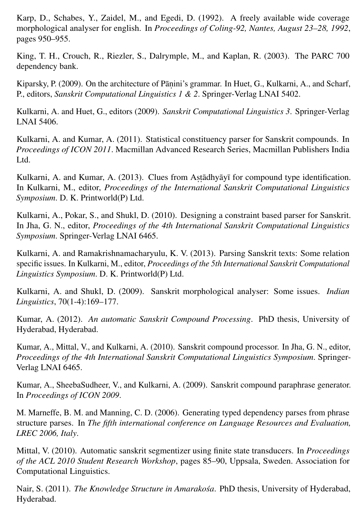<span id="page-16-0"></span>Karp, D., Schabes, Y., Zaidel, M., and Egedi, D. (1992). A freely available wide coverage morphological analyser for english. In *Proceedings of Coling-92, Nantes, August 23–28, 1992*, pages 950–955.

<span id="page-16-9"></span>King, T. H., Crouch, R., Riezler, S., Dalrymple, M., and Kaplan, R. (2003). The PARC 700 dependency bank.

Kiparsky, P. (2009). On the architecture of Pāṇini's grammar. In Huet, G., Kulkarni, A., and Scharf, P., editors, *Sanskrit Computational Linguistics 1 & 2*. Springer-Verlag LNAI 5402.

<span id="page-16-8"></span>Kulkarni, A. and Huet, G., editors (2009). *Sanskrit Computational Linguistics 3*. Springer-Verlag LNAI 5406.

<span id="page-16-4"></span>Kulkarni, A. and Kumar, A. (2011). Statistical constituency parser for Sanskrit compounds. In *Proceedings of ICON 2011*. Macmillan Advanced Research Series, Macmillan Publishers India L<sub>td</sub>

<span id="page-16-5"></span>Kulkarni, A. and Kumar, A. (2013). Clues from Aṣṭādhyāyī for compound type identification. In Kulkarni, M., editor, *Proceedings of the International Sanskrit Computational Linguistics Symposium*. D. K. Printworld(P) Ltd.

<span id="page-16-13"></span>Kulkarni, A., Pokar, S., and Shukl, D. (2010). Designing a constraint based parser for Sanskrit. In Jha, G. N., editor, *Proceedings of the 4th International Sanskrit Computational Linguistics Symposium*. Springer-Verlag LNAI 6465.

<span id="page-16-11"></span>Kulkarni, A. and Ramakrishnamacharyulu, K. V. (2013). Parsing Sanskrit texts: Some relation specific issues. In Kulkarni, M., editor, *Proceedings of the 5th International Sanskrit Computational Linguistics Symposium*. D. K. Printworld(P) Ltd.

<span id="page-16-7"></span>Kulkarni, A. and Shukl, D. (2009). Sanskrit morphological analyser: Some issues. *Indian Linguistics*, 70(1-4):169–177.

<span id="page-16-2"></span>Kumar, A. (2012). *An automatic Sanskrit Compound Processing*. PhD thesis, University of Hyderabad, Hyderabad.

<span id="page-16-3"></span>Kumar, A., Mittal, V., and Kulkarni, A. (2010). Sanskrit compound processor. In Jha, G. N., editor, *Proceedings of the 4th International Sanskrit Computational Linguistics Symposium*. Springer-Verlag LNAI 6465.

<span id="page-16-6"></span>Kumar, A., SheebaSudheer, V., and Kulkarni, A. (2009). Sanskrit compound paraphrase generator. In *Proceedings of ICON 2009*.

<span id="page-16-10"></span>M. Marneffe, B. M. and Manning, C. D. (2006). Generating typed dependency parses from phrase structure parses. In *The fifth international conference on Language Resources and Evaluation, LREC 2006, Italy*.

<span id="page-16-1"></span>Mittal, V. (2010). Automatic sanskrit segmentizer using finite state transducers. In *Proceedings of the ACL 2010 Student Research Workshop*, pages 85–90, Uppsala, Sweden. Association for Computational Linguistics.

<span id="page-16-12"></span>Nair, S. (2011). *The Knowledge Structure in Amarakośa*. PhD thesis, University of Hyderabad, Hyderabad.